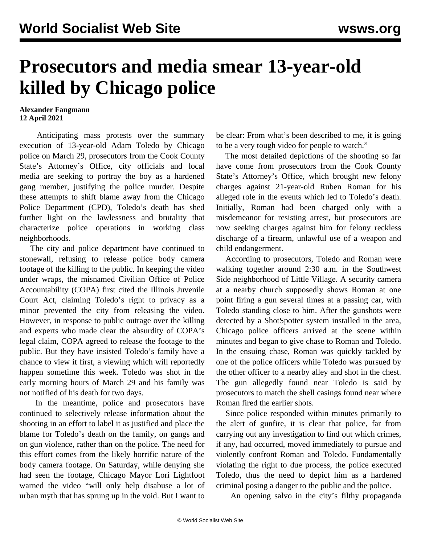## **Prosecutors and media smear 13-year-old killed by Chicago police**

## **Alexander Fangmann 12 April 2021**

 Anticipating mass protests over the summary execution of 13-year-old Adam Toledo by Chicago police on March 29, prosecutors from the Cook County State's Attorney's Office, city officials and local media are seeking to portray the boy as a hardened gang member, justifying the police murder. Despite these attempts to shift blame away from the Chicago Police Department (CPD), Toledo's death has shed further light on the lawlessness and brutality that characterize police operations in working class neighborhoods.

 The city and police department have continued to stonewall, refusing to release police body camera footage of the killing to the public. In keeping the video under wraps, the misnamed Civilian Office of Police Accountability (COPA) first cited the Illinois Juvenile Court Act, claiming Toledo's right to privacy as a minor prevented the city from releasing the video. However, in response to public outrage over the killing and experts who made clear the absurdity of COPA's legal claim, COPA agreed to release the footage to the public. But they have insisted Toledo's family have a chance to view it first, a viewing which will reportedly happen sometime this week. Toledo was shot in the early morning hours of March 29 and his family was not notified of his death for two days.

 In the meantime, police and prosecutors have continued to selectively release information about the shooting in an effort to label it as justified and place the blame for Toledo's death on the family, on gangs and on gun violence, rather than on the police. The need for this effort comes from the likely horrific nature of the body camera footage. On Saturday, while denying she had seen the footage, Chicago Mayor Lori Lightfoot warned the video "will only help disabuse a lot of urban myth that has sprung up in the void. But I want to

be clear: From what's been described to me, it is going to be a very tough video for people to watch."

 The most detailed depictions of the shooting so far have come from prosecutors from the Cook County State's Attorney's Office, which brought new felony charges against 21-year-old Ruben Roman for his alleged role in the events which led to Toledo's death. Initially, Roman had been charged only with a misdemeanor for resisting arrest, but prosecutors are now seeking charges against him for felony reckless discharge of a firearm, unlawful use of a weapon and child endangerment.

 According to prosecutors, Toledo and Roman were walking together around 2:30 a.m. in the Southwest Side neighborhood of Little Village. A security camera at a nearby church supposedly shows Roman at one point firing a gun several times at a passing car, with Toledo standing close to him. After the gunshots were detected by a ShotSpotter system installed in the area, Chicago police officers arrived at the scene within minutes and began to give chase to Roman and Toledo. In the ensuing chase, Roman was quickly tackled by one of the police officers while Toledo was pursued by the other officer to a nearby alley and shot in the chest. The gun allegedly found near Toledo is said by prosecutors to match the shell casings found near where Roman fired the earlier shots.

 Since police responded within minutes primarily to the alert of gunfire, it is clear that police, far from carrying out any investigation to find out which crimes, if any, had occurred, moved immediately to pursue and violently confront Roman and Toledo. Fundamentally violating the right to due process, the police executed Toledo, thus the need to depict him as a hardened criminal posing a danger to the public and the police.

An opening salvo in the city's filthy propaganda